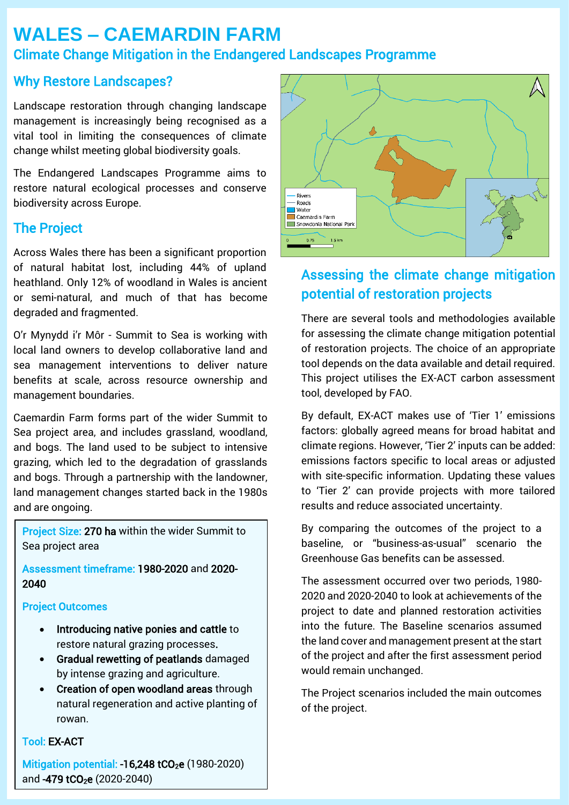# **WALES – CAEMARDIN FARM** Climate Change Mitigation in the Endangered Landscapes Programme

## Why Restore Landscapes?

Landscape restoration through changing landscape management is increasingly being recognised as a vital tool in limiting the consequences of climate change whilst meeting global biodiversity goals.

The Endangered Landscapes Programme aims to restore natural ecological processes and conserve biodiversity across Europe.

## The Project

Across Wales there has been a significant proportion of natural habitat lost, including 44% of upland heathland. Only 12% of woodland in Wales is ancient or semi-natural, and much of that has become degraded and fragmented.

management boundaries. The project and resilience and resilience and resilience and resilience and resilience a O'r Mynydd i'r Môr - Summit to Sea is working with local land owners to develop collaborative land and sea management interventions to deliver nature benefits at scale, across resource ownership and

Caemardin Farm forms part of the wider Summit to Sea project area, and includes grassland, woodland, and bogs. The land used to be subject to intensive grazing, which led to the degradation of grasslands and bogs. Through a partnership with the landowner, land management changes started back in the 1980s and are ongoing.

Project Size: 270 ha within the wider Summit to Sea project area

Assessment timeframe: 1980-2020 and 2020- 2040

### Project Outcomes

- Introducing native ponies and cattle to restore natural grazing processes.
- Gradual rewetting of peatlands damaged by intense grazing and agriculture.
- Creation of open woodland areas through natural regeneration and active planting of rowan.

### Tool: EX-ACT

Mitigation potential: -16,248 tCO<sub>2</sub>e (1980-2020) and -479 tCO<sub>2</sub>e (2020-2040)



## Assessing the climate change mitigation potential of restoration projects

There are several tools and methodologies available for assessing the climate change mitigation potential of restoration projects. The choice of an appropriate tool depends on the data available and detail required. This project utilises the EX-ACT carbon assessment tool, developed by FAO.

project also aims to improve climate change adaptation and resilience as well as benefit local livelihoods. By default, EX-ACT makes use of 'Tier 1' emissions factors: globally agreed means for broad habitat and climate regions. However, 'Tier 2' inputs can be added: emissions factors specific to local areas or adjusted with site-specific information. Updating these values to 'Tier 2' can provide projects with more tailored results and reduce associated uncertainty.

> By comparing the outcomes of the project to a baseline, or "business-as-usual" scenario the Greenhouse Gas benefits can be assessed.

> The assessment occurred over two periods, 1980- 2020 and 2020-2040 to look at achievements of the project to date and planned restoration activities into the future. The Baseline scenarios assumed the land cover and management present at the start of the project and after the first assessment period would remain unchanged.

> The Project scenarios included the main outcomes of the project.